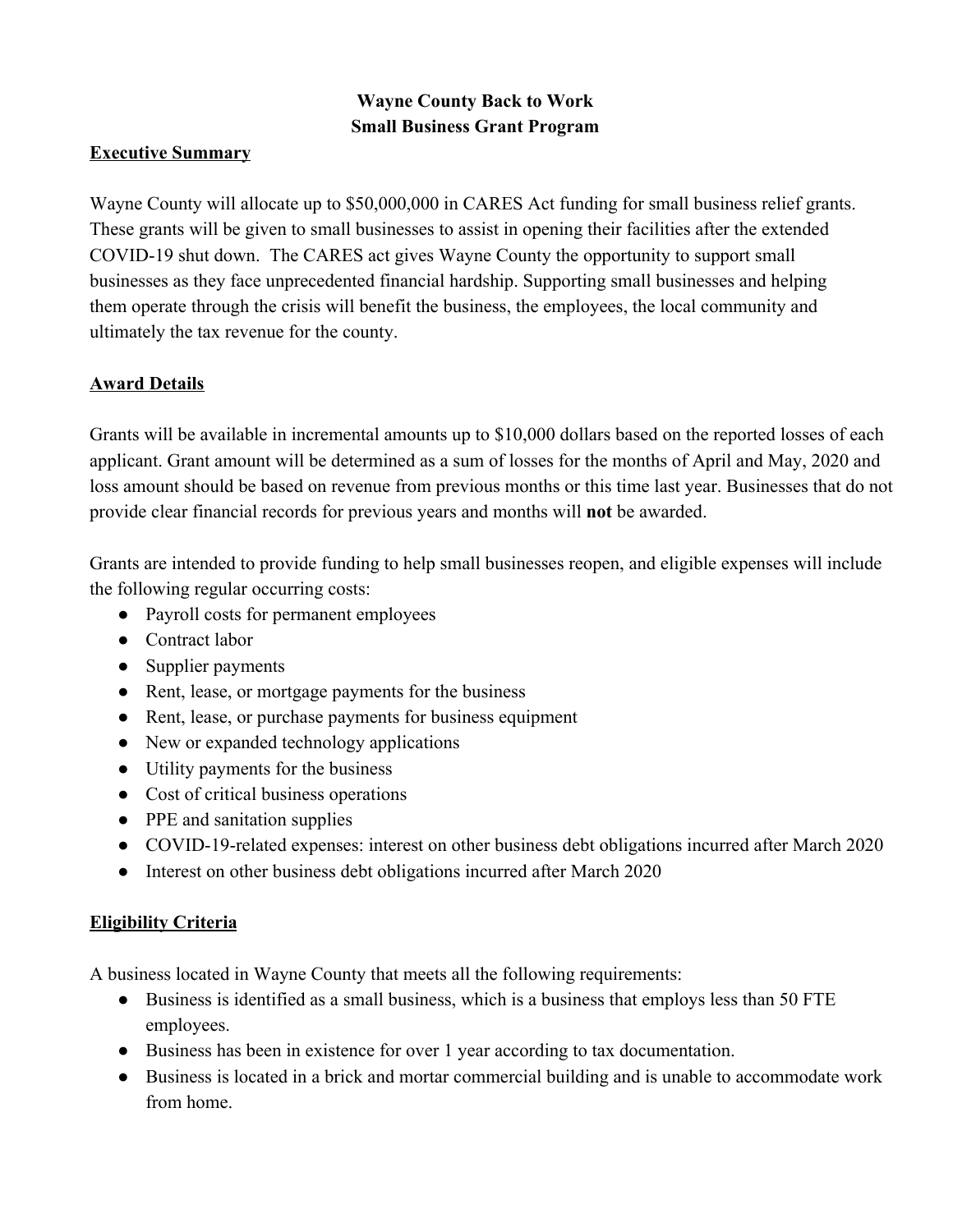# **Wayne County Back to Work Small Business Grant Program**

#### **Executive Summary**

Wayne County will allocate up to \$50,000,000 in CARES Act funding for small business relief grants. These grants will be given to small businesses to assist in opening their facilities after the extended COVID-19 shut down. The CARES act gives Wayne County the opportunity to support small businesses as they face unprecedented financial hardship. Supporting small businesses and helping them operate through the crisis will benefit the business, the employees, the local community and ultimately the tax revenue for the county.

## **Award Details**

Grants will be available in incremental amounts up to \$10,000 dollars based on the reported losses of each applicant. Grant amount will be determined as a sum of losses for the months of April and May, 2020 and loss amount should be based on revenue from previous months or this time last year. Businesses that do not provide clear financial records for previous years and months will **not** be awarded.

Grants are intended to provide funding to help small businesses reopen, and eligible expenses will include the following regular occurring costs:

- Payroll costs for permanent employees
- Contract labor
- Supplier payments
- Rent, lease, or mortgage payments for the business
- Rent, lease, or purchase payments for business equipment
- New or expanded technology applications
- Utility payments for the business
- Cost of critical business operations
- PPE and sanitation supplies
- COVID-19-related expenses: interest on other business debt obligations incurred after March 2020
- Interest on other business debt obligations incurred after March 2020

#### **Eligibility Criteria**

A business located in Wayne County that meets all the following requirements:

- Business is identified as a small business, which is a business that employs less than 50 FTE employees.
- Business has been in existence for over 1 year according to tax documentation.
- Business is located in a brick and mortar commercial building and is unable to accommodate work from home.